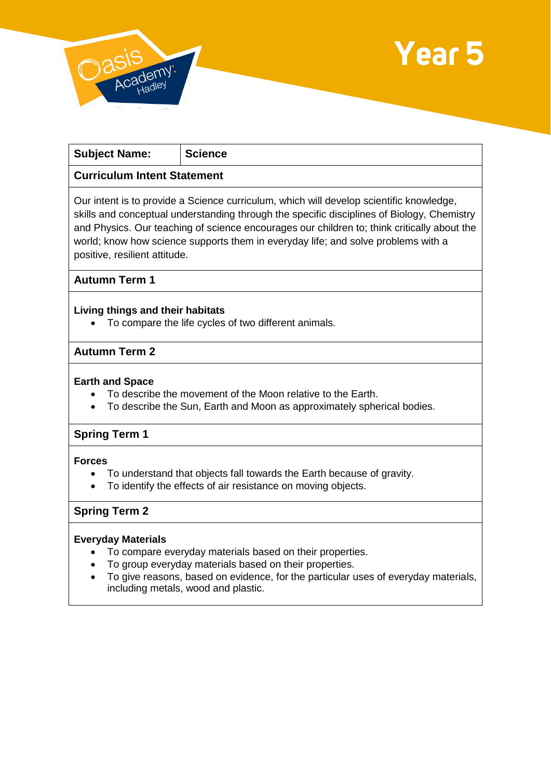



| <b>Subject Name:</b>                                                                                                                                                                  | <b>Science</b> |
|---------------------------------------------------------------------------------------------------------------------------------------------------------------------------------------|----------------|
| <b>Curriculum Intent Statement</b>                                                                                                                                                    |                |
| Our intent is to provide a Science curriculum, which will develop scientific knowledge,<br>skills and conceptual understanding through the specific disciplines of Biology, Chemistry |                |

and Physics. Our teaching of science encourages our children to; think critically about the world; know how science supports them in everyday life; and solve problems with a positive, resilient attitude.

**Autumn Term 1**

#### **Living things and their habitats**

To compare the life cycles of two different animals.

## **Autumn Term 2**

#### **Earth and Space**

- To describe the movement of the Moon relative to the Earth.
- To describe the Sun, Earth and Moon as approximately spherical bodies.

## **Spring Term 1**

#### **Forces**

- To understand that objects fall towards the Earth because of gravity.
- To identify the effects of air resistance on moving objects.

# **Spring Term 2**

#### **Everyday Materials**

- To compare everyday materials based on their properties.
- To group everyday materials based on their properties.
- To give reasons, based on evidence, for the particular uses of everyday materials, including metals, wood and plastic.